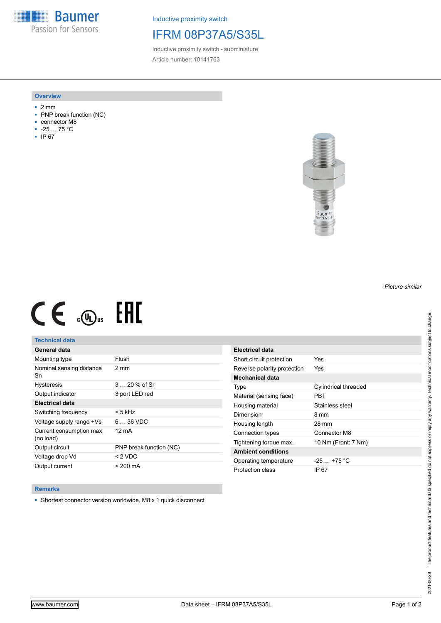**Baumer** Passion for Sensors

Inductive proximity switch

# IFRM 08P37A5/S35L

Inductive proximity switch - subminiature Article number: 10141763

#### **Overview**

- 2 mm
- PNP break function (NC)
- connector M8
- -25 … 75 °C
- IP 67



# $CE \mathcal{L}$  (Dus FRE

## **Technical data**

| General data                          |                         |
|---------------------------------------|-------------------------|
| Mounting type                         | Flush                   |
| Nominal sensing distance<br>Sn        | 2 mm                    |
| <b>Hysteresis</b>                     | $320%$ of Sr            |
| Output indicator                      | 3 port LED red          |
| <b>Electrical data</b>                |                         |
| Switching frequency                   | < 5 kHz                 |
| Voltage supply range +Vs              | $636$ VDC               |
| Current consumption max.<br>(no load) | 12 mA                   |
| Output circuit                        | PNP break function (NC) |
| Voltage drop Vd                       | $< 2$ VDC               |
| Output current                        | $< 200 \text{ mA}$      |

| <b>Electrical data</b>      |                      |
|-----------------------------|----------------------|
| Short circuit protection    | Yes                  |
| Reverse polarity protection | Yes                  |
| <b>Mechanical data</b>      |                      |
| Type                        | Cylindrical threaded |
| Material (sensing face)     | PRT                  |
| Housing material            | Stainless steel      |
| Dimension                   | 8 mm                 |
| Housing length              | 28 mm                |
| Connection types            | Connector M8         |
| Tightening torque max.      | 10 Nm (Front: 7 Nm)  |
| <b>Ambient conditions</b>   |                      |
| Operating temperature       | $-25+75 °C$          |
| Protection class            | IP 67                |

### **Remarks**

■ Shortest connector version worldwide, M8 x 1 quick disconnect

*Picture similar*